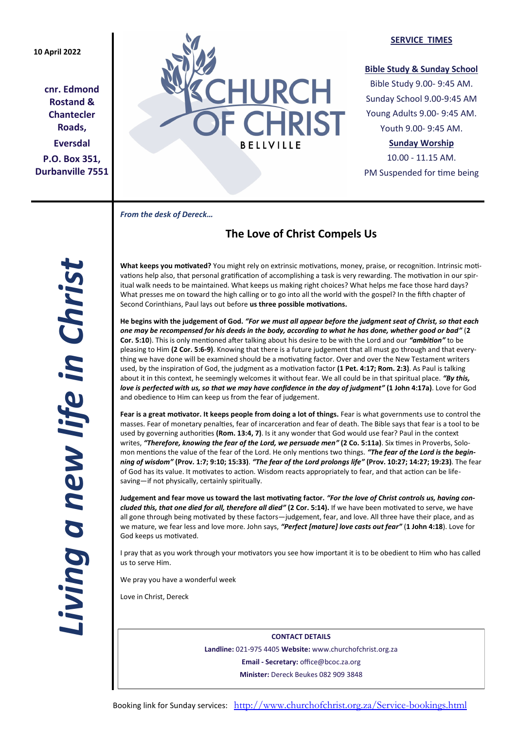## **10 April 2022**

**cnr. Edmond Rostand & Chantecler Roads, Eversdal P.O. Box 351, Durbanville 7551**



#### **SERVICE TIMES**

#### **Bible Study & Sunday School**

Bible Study 9.00- 9:45 AM. Sunday School 9.00-9:45 AM Young Adults 9.00- 9:45 AM. Youth 9.00- 9:45 AM.

## **Sunday Worship**

10.00 - 11.15 AM. PM Suspended for time being

*From the desk of Dereck…* 

# **The Love of Christ Compels Us**

**What keeps you motivated?** You might rely on extrinsic motivations, money, praise, or recognition. Intrinsic motivations help also, that personal gratification of accomplishing a task is very rewarding. The motivation in our spiritual walk needs to be maintained. What keeps us making right choices? What helps me face those hard days? What presses me on toward the high calling or to go into all the world with the gospel? In the fifth chapter of Second Corinthians, Paul lays out before **us three possible motivations.**

**He begins with the judgement of God.** *"For we must all appear before the judgment seat of Christ, so that each one may be recompensed for his deeds in the body, according to what he has done, whether good or bad"* (**2 Cor. 5:10**). This is only mentioned after talking about his desire to be with the Lord and our *"ambition"* to be pleasing to Him **(2 Cor. 5:6-9)**. Knowing that there is a future judgement that all must go through and that everything we have done will be examined should be a motivating factor. Over and over the New Testament writers used, by the inspiration of God, the judgment as a motivation factor **(1 Pet. 4:17; Rom. 2:3)**. As Paul is talking about it in this context, he seemingly welcomes it without fear. We all could be in that spiritual place. *"By this, love is perfected with us, so that we may have confidence in the day of judgment"* **(1 John 4:17a)**. Love for God and obedience to Him can keep us from the fear of judgement.

**Fear is a great motivator. It keeps people from doing a lot of things.** Fear is what governments use to control the masses. Fear of monetary penalties, fear of incarceration and fear of death. The Bible says that fear is a tool to be used by governing authorities **(Rom. 13:4, 7)**. Is it any wonder that God would use fear? Paul in the context writes, *"Therefore, knowing the fear of the Lord, we persuade men"* **(2 Co. 5:11a)**. Six times in Proverbs, Solomon mentions the value of the fear of the Lord. He only mentions two things. *"The fear of the Lord is the beginning of wisdom"* **(Prov. 1:7; 9:10; 15:33)**. *"The fear of the Lord prolongs life"* **(Prov. 10:27; 14:27; 19:23)**. The fear of God has its value. It motivates to action. Wisdom reacts appropriately to fear, and that action can be lifesaving—if not physically, certainly spiritually.

**Judgement and fear move us toward the last motivating factor.** *"For the love of Christ controls us, having concluded this, that one died for all, therefore all died"* **(2 Cor. 5:14).** If we have been motivated to serve, we have all gone through being motivated by these factors—judgement, fear, and love. All three have their place, and as we mature, we fear less and love more. John says, *"Perfect [mature] love casts out fear"* (**1 John 4:18**). Love for God keeps us motivated.

I pray that as you work through your motivators you see how important it is to be obedient to Him who has called us to serve Him.

We pray you have a wonderful week

Love in Christ, Dereck

**CONTACT DETAILS Landline:** 021-975 4405 **Website:** www.churchofchrist.org.za **Email - Secretary:** office@bcoc.za.org **Minister:** Dereck Beukes 082 909 3848